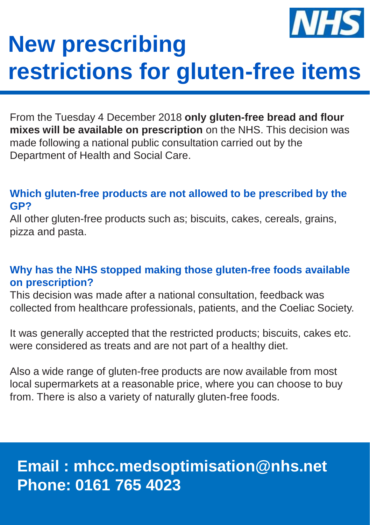

# **New prescribing restrictions for gluten-free items**

From the Tuesday 4 December 2018 **only gluten-free bread and flour mixes will be available on prescription** on the NHS. This decision was made following a national public consultation carried out by the Department of Health and Social Care.

#### **Which gluten-free products are not allowed to be prescribed by the GP?**

All other gluten-free products such as; biscuits, cakes, cereals, grains, pizza and pasta.

### **Why has the NHS stopped making those gluten-free foods available on prescription?**

This decision was made after a national consultation, feedback was collected from healthcare professionals, patients, and the Coeliac Society.

It was generally accepted that the restricted products; biscuits, cakes etc. were considered as treats and are not part of a healthy diet.

Also a wide range of gluten-free products are now available from most local supermarkets at a reasonable price, where you can choose to buy from. There is also a variety of naturally gluten-free foods.

## **Email : mhcc.medsoptimisation@nhs.net Phone: 0161 765 4023**